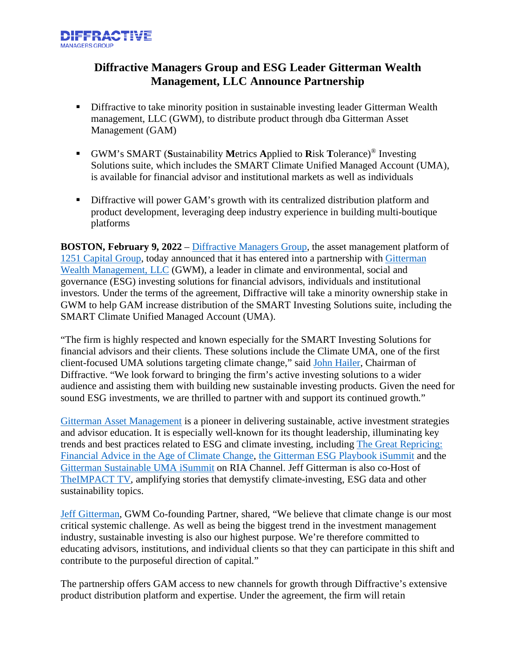

## **Diffractive Managers Group and ESG Leader Gitterman Wealth Management, LLC Announce Partnership**

- **•** Diffractive to take minority position in sustainable investing leader Gitterman Wealth management, LLC (GWM), to distribute product through dba Gitterman Asset Management (GAM)
- GWM's SMART (**S**ustainability **M**etrics **A**pplied to **R**isk **T**olerance)® Investing Solutions suite, which includes the SMART Climate Unified Managed Account (UMA), is available for financial advisor and institutional markets as well as individuals
- Diffractive will power GAM's growth with its centralized distribution platform and product development, leveraging deep industry experience in building multi-boutique platforms

**BOSTON, February 9, 2022** – [Diffractive Managers Group,](https://diffractivemanagers.com/) the asset management platform of [1251 Capital Group,](https://www.1251capital.com/) today announced that it has entered into a partnership with [Gitterman](https://gittermanmanagement.com/)  [Wealth Management, LLC](https://gittermanmanagement.com/) (GWM), a leader in climate and environmental, social and governance (ESG) investing solutions for financial advisors, individuals and institutional investors. Under the terms of the agreement, Diffractive will take a minority ownership stake in GWM to help GAM increase distribution of the SMART Investing Solutions suite, including the SMART Climate Unified Managed Account (UMA).

"The firm is highly respected and known especially for the SMART Investing Solutions for financial advisors and their clients. These solutions include the Climate UMA, one of the first client-focused UMA solutions targeting climate change," said [John Hailer,](https://diffractivemanagers.com/) Chairman of Diffractive. "We look forward to bringing the firm's active investing solutions to a wider audience and assisting them with building new sustainable investing products. Given the need for sound ESG investments, we are thrilled to partner with and support its continued growth."

[Gitterman Asset Management](https://gittermanasset.com/) is a pioneer in delivering sustainable, active investment strategies and advisor education. It is especially well-known for its thought leadership, illuminating key trends and best practices related to ESG and climate investing, including [The Great Repricing:](https://gittermanasset.com/greatrepricing/)  [Financial Advice in the Age of Climate Change,](https://gittermanasset.com/greatrepricing/) [the Gitterman ESG Playbook iSummit](https://www.riachannel.com/ESGPlaybook/?partnerref=tile#register) and the [Gitterman Sustainable UMA iSummit](https://event.on24.com/wcc/r/2370267/260F6B4EF597934B638DF5738BDF4C49) on RIA Channel. Jeff Gitterman is also co-Host of [TheIMPACT TV,](https://fintech.tv/?s=jeff+gitterman) amplifying stories that demystify climate-investing, ESG data and other sustainability topics.

[Jeff Gitterman,](https://investor.gittermanwealth.com/professionals/jeffrey-l-gitterman/) GWM Co-founding Partner, shared, "We believe that climate change is our most critical systemic challenge. As well as being the biggest trend in the investment management industry, sustainable investing is also our highest purpose. We're therefore committed to educating advisors, institutions, and individual clients so that they can participate in this shift and contribute to the purposeful direction of capital."

The partnership offers GAM access to new channels for growth through Diffractive's extensive product distribution platform and expertise. Under the agreement, the firm will retain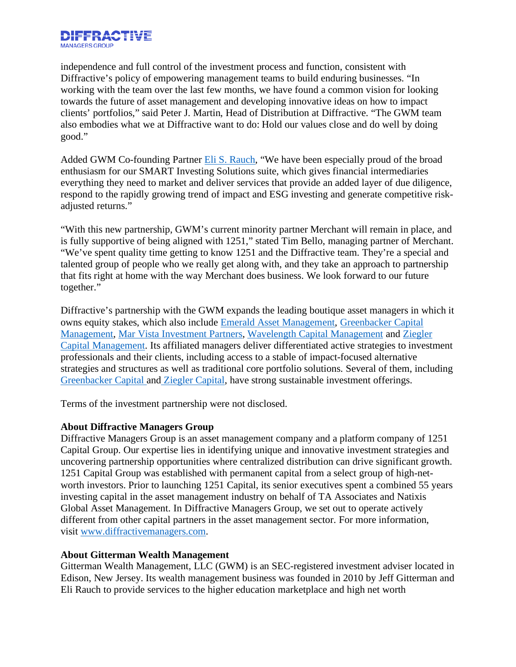

independence and full control of the investment process and function, consistent with Diffractive's policy of empowering management teams to build enduring businesses. "In working with the team over the last few months, we have found a common vision for looking towards the future of asset management and developing innovative ideas on how to impact clients' portfolios," said Peter J. Martin, Head of Distribution at Diffractive. "The GWM team also embodies what we at Diffractive want to do: Hold our values close and do well by doing good."

Added GWM Co-founding Partner **Eli S. Rauch**, "We have been especially proud of the broad enthusiasm for our SMART Investing Solutions suite, which gives financial intermediaries everything they need to market and deliver services that provide an added layer of due diligence, respond to the rapidly growing trend of impact and ESG investing and generate competitive riskadjusted returns."

"With this new partnership, GWM's current minority partner Merchant will remain in place, and is fully supportive of being aligned with 1251," stated Tim Bello, managing partner of Merchant. "We've spent quality time getting to know 1251 and the Diffractive team. They're a special and talented group of people who we really get along with, and they take an approach to partnership that fits right at home with the way Merchant does business. We look forward to our future together."

Diffractive's partnership with the GWM expands the leading boutique asset managers in which it owns equity stakes, which also include [Emerald Asset Management,](https://www.teamemerald.com/) [Greenbacker Capital](https://greenbackercapital.com/)  [Management,](https://greenbackercapital.com/) [Mar Vista Investment Partners,](https://marvistainvestments.com/) [Wavelength Capital Management](http://www.wavelengthcapital.com/) and [Ziegler](https://zieglercap.com/)  [Capital Management.](https://zieglercap.com/) Its affiliated managers deliver differentiated active strategies to investment professionals and their clients, including access to a stable of impact-focused alternative strategies and structures as well as traditional core portfolio solutions. Several of them, including [Greenbacker](https://greenbackercapital.com/about-us/) Capital and [Ziegler Capital,](https://zieglercap.com/teams/zcm-sustainability/) have strong sustainable investment offerings.

Terms of the investment partnership were not disclosed.

## **About Diffractive Managers Group**

Diffractive Managers Group is an asset management company and a platform company of 1251 Capital Group. Our expertise lies in identifying unique and innovative investment strategies and uncovering partnership opportunities where centralized distribution can drive significant growth. 1251 Capital Group was established with permanent capital from a select group of high-networth investors. Prior to launching 1251 Capital, its senior executives spent a combined 55 years investing capital in the asset management industry on behalf of TA Associates and Natixis Global Asset Management. In Diffractive Managers Group, we set out to operate actively different from other capital partners in the asset management sector. For more information, visit [www.diffractivemanagers.com.](http://www.diffractivemanagers.com/)

## **About Gitterman Wealth Management**

Gitterman Wealth Management, LLC (GWM) is an SEC-registered investment adviser located in Edison, New Jersey. Its wealth management business was founded in 2010 by Jeff Gitterman and Eli Rauch to provide services to the higher education marketplace and high net worth